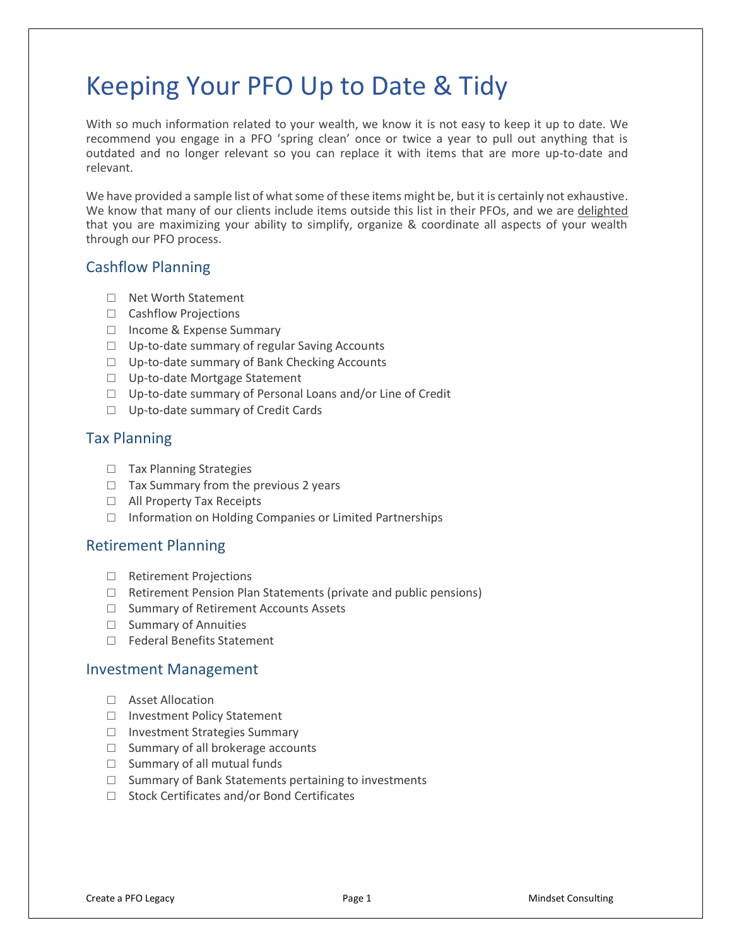# Keeping Your PFO Up to Date & Tidy

With so much information related to your wealth, we know it is not easy to keep it up to date. We recommend you engage in a PFO 'spring clean' once or twice a year to pull out anything that is outdated and no longer relevant so you can replace it with items that are more up-to-date and relevant.

We have provided a sample list of what some of these items might be, but it is certainly not exhaustive. We know that many of our clients include items outside this list in their PFOs, and we are delighted that you are maximizing your ability to simplify, organize & coordinate all aspects of your wealth through our PFO process.

## Cashflow Planning

- □ Net Worth Statement
- □ Cashflow Projections
- □ Income & Expense Summary
- □ Up-to-date summary of regular Saving Accounts
- □ Up-to-date summary of Bank Checking Accounts
- □ Up-to-date Mortgage Statement
- □ Up-to-date summary of Personal Loans and/or Line of Credit
- □ Up-to-date summary of Credit Cards

## Tax Planning

- □ Tax Planning Strategies
- $\Box$  Tax Summary from the previous 2 years
- □ All Property Tax Receipts
- □ Information on Holding Companies or Limited Partnerships

## Retirement Planning

- □ Retirement Projections
- $\Box$  Retirement Pension Plan Statements (private and public pensions)
- □ Summary of Retirement Accounts Assets
- □ Summary of Annuities
- □ Federal Benefits Statement

#### Investment Management

- □ Asset Allocation
- □ Investment Policy Statement
- □ Investment Strategies Summary
- □ Summary of all brokerage accounts
- $\square$  Summary of all mutual funds
- □ Summary of Bank Statements pertaining to investments
- □ Stock Certificates and/or Bond Certificates